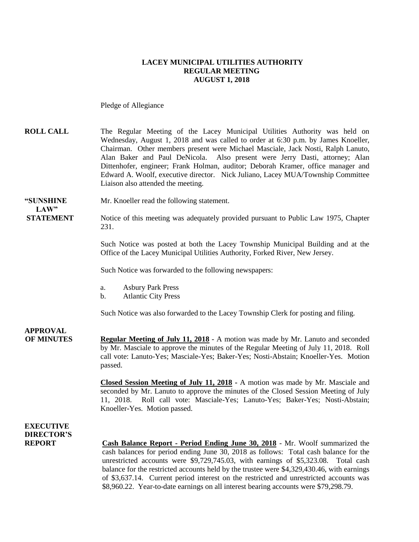#### **LACEY MUNICIPAL UTILITIES AUTHORITY REGULAR MEETING AUGUST 1, 2018**

Pledge of Allegiance

#### **ROLL CALL** The Regular Meeting of the Lacey Municipal Utilities Authority was held on Wednesday, August 1, 2018 and was called to order at 6:30 p.m. by James Knoeller, Chairman. Other members present were Michael Masciale, Jack Nosti, Ralph Lanuto, Alan Baker and Paul DeNicola. Also present were Jerry Dasti, attorney; Alan Dittenhofer, engineer; Frank Holman, auditor; Deborah Kramer, office manager and Edward A. Woolf, executive director. Nick Juliano, Lacey MUA/Township Committee Liaison also attended the meeting.

**"SUNSHINE** Mr. Knoeller read the following statement.

**STATEMENT** Notice of this meeting was adequately provided pursuant to Public Law 1975, Chapter 231.

> Such Notice was posted at both the Lacey Township Municipal Building and at the Office of the Lacey Municipal Utilities Authority, Forked River, New Jersey.

Such Notice was forwarded to the following newspapers:

- a. Asbury Park Press
- b. Atlantic City Press

Such Notice was also forwarded to the Lacey Township Clerk for posting and filing.

### **APPROVAL**

 $LAW"$ 

**OF MINUTES Regular Meeting of July 11, 2018** - A motion was made by Mr. Lanuto and seconded by Mr. Masciale to approve the minutes of the Regular Meeting of July 11, 2018. Roll call vote: Lanuto-Yes; Masciale-Yes; Baker-Yes; Nosti-Abstain; Knoeller-Yes. Motion passed.

> **Closed Session Meeting of July 11, 2018 -** A motion was made by Mr. Masciale and seconded by Mr. Lanuto to approve the minutes of the Closed Session Meeting of July 11, 2018. Roll call vote: Masciale-Yes; Lanuto-Yes; Baker-Yes; Nosti-Abstain; Knoeller-Yes. Motion passed.

#### **EXECUTIVE DIRECTOR'S**

**REPORT Cash Balance Report - Period Ending June 30, 2018** - Mr. Woolf summarized the cash balances for period ending June 30, 2018 as follows: Total cash balance for the unrestricted accounts were \$9,729,745.03, with earnings of \$5,323.08. Total cash balance for the restricted accounts held by the trustee were \$4,329,430.46, with earnings of \$3,637.14. Current period interest on the restricted and unrestricted accounts was \$8,960.22. Year-to-date earnings on all interest bearing accounts were \$79,298.79.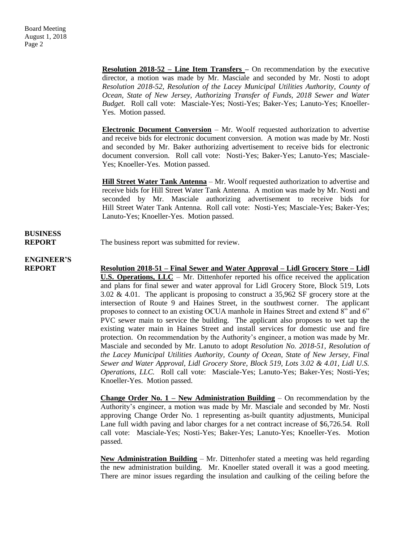**Resolution 2018-52 – Line Item Transfers –** On recommendation by the executive director, a motion was made by Mr. Masciale and seconded by Mr. Nosti to adopt *Resolution 2018-52, Resolution of the Lacey Municipal Utilities Authority, County of Ocean, State of New Jersey, Authorizing Transfer of Funds, 2018 Sewer and Water Budget.* Roll call vote: Masciale-Yes; Nosti-Yes; Baker-Yes; Lanuto-Yes; Knoeller-Yes. Motion passed.

**Electronic Document Conversion** – Mr. Woolf requested authorization to advertise and receive bids for electronic document conversion. A motion was made by Mr. Nosti and seconded by Mr. Baker authorizing advertisement to receive bids for electronic document conversion. Roll call vote: Nosti-Yes; Baker-Yes; Lanuto-Yes; Masciale-Yes; Knoeller-Yes. Motion passed.

**Hill Street Water Tank Antenna** – Mr. Woolf requested authorization to advertise and receive bids for Hill Street Water Tank Antenna. A motion was made by Mr. Nosti and seconded by Mr. Masciale authorizing advertisement to receive bids for Hill Street Water Tank Antenna. Roll call vote: Nosti-Yes; Masciale-Yes; Baker-Yes; Lanuto-Yes; Knoeller-Yes. Motion passed.

## **BUSINESS**

**REPORT** The business report was submitted for review.

### **ENGINEER'S**

**REPORT Resolution 2018-51 – Final Sewer and Water Approval – Lidl Grocery Store – Lidl U.S. Operations, LLC** – Mr. Dittenhofer reported his office received the application and plans for final sewer and water approval for Lidl Grocery Store, Block 519, Lots 3.02 & 4.01. The applicant is proposing to construct a 35,962 SF grocery store at the intersection of Route 9 and Haines Street, in the southwest corner. The applicant proposes to connect to an existing OCUA manhole in Haines Street and extend 8" and 6" PVC sewer main to service the building. The applicant also proposes to wet tap the existing water main in Haines Street and install services for domestic use and fire protection. On recommendation by the Authority's engineer, a motion was made by Mr. Masciale and seconded by Mr. Lanuto to adopt *Resolution No. 2018-51, Resolution of the Lacey Municipal Utilities Authority, County of Ocean, State of New Jersey, Final Sewer and Water Approval, Lidl Grocery Store, Block 519, Lots 3.02 & 4.01, Lidl U.S. Operations, LLC.* Roll call vote: Masciale-Yes; Lanuto-Yes; Baker-Yes; Nosti-Yes; Knoeller-Yes. Motion passed.

> **Change Order No. 1 – New Administration Building** – On recommendation by the Authority's engineer, a motion was made by Mr. Masciale and seconded by Mr. Nosti approving Change Order No. 1 representing as-built quantity adjustments, Municipal Lane full width paving and labor charges for a net contract increase of \$6,726.54. Roll call vote: Masciale-Yes; Nosti-Yes; Baker-Yes; Lanuto-Yes; Knoeller-Yes. Motion passed.

> **New Administration Building** – Mr. Dittenhofer stated a meeting was held regarding the new administration building. Mr. Knoeller stated overall it was a good meeting. There are minor issues regarding the insulation and caulking of the ceiling before the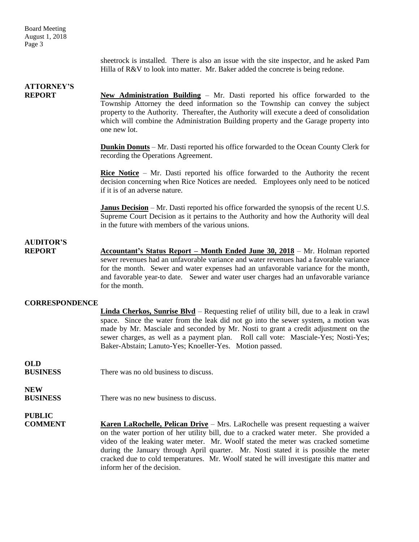Board Meeting August 1, 2018 Page 3

> sheetrock is installed. There is also an issue with the site inspector, and he asked Pam Hilla of R&V to look into matter. Mr. Baker added the concrete is being redone.

### **ATTORNEY'S**

**REPORT New Administration Building** – Mr. Dasti reported his office forwarded to the Township Attorney the deed information so the Township can convey the subject property to the Authority. Thereafter, the Authority will execute a deed of consolidation which will combine the Administration Building property and the Garage property into one new lot.

> **Dunkin Donuts** – Mr. Dasti reported his office forwarded to the Ocean County Clerk for recording the Operations Agreement.

> **Rice Notice** – Mr. Dasti reported his office forwarded to the Authority the recent decision concerning when Rice Notices are needed. Employees only need to be noticed if it is of an adverse nature.

> **Janus Decision** – Mr. Dasti reported his office forwarded the synopsis of the recent U.S. Supreme Court Decision as it pertains to the Authority and how the Authority will deal in the future with members of the various unions.

#### **AUDITOR'S**

**REPORT** Accountant's Status Report – Month Ended June 30, 2018 – Mr. Holman reported sewer revenues had an unfavorable variance and water revenues had a favorable variance for the month. Sewer and water expenses had an unfavorable variance for the month, and favorable year-to date. Sewer and water user charges had an unfavorable variance for the month.

#### **CORRESPONDENCE**

| Linda Cherkos, Sunrise Blvd – Requesting relief of utility bill, due to a leak in crawl |
|-----------------------------------------------------------------------------------------|
| space. Since the water from the leak did not go into the sewer system, a motion was     |
| made by Mr. Masciale and seconded by Mr. Nosti to grant a credit adjustment on the      |
| sewer charges, as well as a payment plan. Roll call vote: Masciale-Yes; Nosti-Yes;      |
| Baker-Abstain; Lanuto-Yes; Knoeller-Yes. Motion passed.                                 |
|                                                                                         |

**OLD BUSINESS** There was no old business to discuss.

**NEW**

**PUBLIC**

**BUSINESS** There was no new business to discuss

**COMMENT Karen LaRochelle, Pelican Drive** – Mrs. LaRochelle was present requesting a waiver on the water portion of her utility bill, due to a cracked water meter. She provided a video of the leaking water meter. Mr. Woolf stated the meter was cracked sometime during the January through April quarter. Mr. Nosti stated it is possible the meter cracked due to cold temperatures. Mr. Woolf stated he will investigate this matter and inform her of the decision.